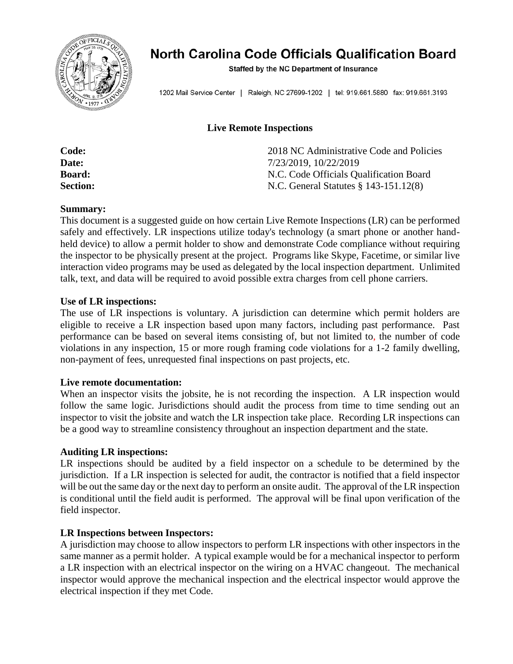

# North Carolina Code Officials Qualification Board

Staffed by the NC Department of Insurance

1202 Mail Service Center | Raleigh, NC 27699-1202 | tel: 919.661.5880 fax: 919.661.3193

#### **Live Remote Inspections**

| Code:           | 2018 NC Administrative Code and Policies |
|-----------------|------------------------------------------|
| Date:           | 7/23/2019, 10/22/2019                    |
| <b>Board:</b>   | N.C. Code Officials Qualification Board  |
| <b>Section:</b> | N.C. General Statutes $\S$ 143-151.12(8) |

#### **Summary:**

This document is a suggested guide on how certain Live Remote Inspections (LR) can be performed safely and effectively. LR inspections utilize today's technology (a smart phone or another handheld device) to allow a permit holder to show and demonstrate Code compliance without requiring the inspector to be physically present at the project. Programs like Skype, Facetime, or similar live interaction video programs may be used as delegated by the local inspection department. Unlimited talk, text, and data will be required to avoid possible extra charges from cell phone carriers.

#### **Use of LR inspections:**

The use of LR inspections is voluntary. A jurisdiction can determine which permit holders are eligible to receive a LR inspection based upon many factors, including past performance. Past performance can be based on several items consisting of, but not limited to, the number of code violations in any inspection, 15 or more rough framing code violations for a 1-2 family dwelling, non-payment of fees, unrequested final inspections on past projects, etc.

#### **Live remote documentation:**

When an inspector visits the jobsite, he is not recording the inspection. A LR inspection would follow the same logic. Jurisdictions should audit the process from time to time sending out an inspector to visit the jobsite and watch the LR inspection take place. Recording LR inspections can be a good way to streamline consistency throughout an inspection department and the state.

#### **Auditing LR inspections:**

LR inspections should be audited by a field inspector on a schedule to be determined by the jurisdiction. If a LR inspection is selected for audit, the contractor is notified that a field inspector will be out the same day or the next day to perform an onsite audit. The approval of the LR inspection is conditional until the field audit is performed. The approval will be final upon verification of the field inspector.

#### **LR Inspections between Inspectors:**

A jurisdiction may choose to allow inspectors to perform LR inspections with other inspectors in the same manner as a permit holder. A typical example would be for a mechanical inspector to perform a LR inspection with an electrical inspector on the wiring on a HVAC changeout. The mechanical inspector would approve the mechanical inspection and the electrical inspector would approve the electrical inspection if they met Code.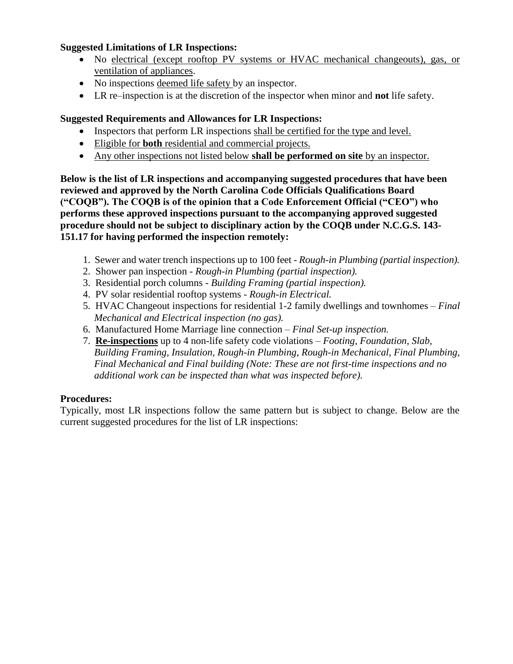#### **Suggested Limitations of LR Inspections:**

- No electrical (except rooftop PV systems or HVAC mechanical changeouts), gas, or ventilation of appliances.
- No inspections deemed life safety by an inspector.
- LR re–inspection is at the discretion of the inspector when minor and **not** life safety.

### **Suggested Requirements and Allowances for LR Inspections:**

- Inspectors that perform LR inspections shall be certified for the type and level.
- Eligible for **both** residential and commercial projects.
- Any other inspections not listed below **shall be performed on site** by an inspector.

**Below is the list of LR inspections and accompanying suggested procedures that have been reviewed and approved by the North Carolina Code Officials Qualifications Board ("COQB"). The COQB is of the opinion that a Code Enforcement Official ("CEO") who performs these approved inspections pursuant to the accompanying approved suggested procedure should not be subject to disciplinary action by the COQB under N.C.G.S. 143- 151.17 for having performed the inspection remotely:**

- 1. Sewer and water trench inspections up to 100 feet *Rough-in Plumbing (partial inspection).*
- 2. Shower pan inspection *Rough-in Plumbing (partial inspection).*
- 3. Residential porch columns *Building Framing (partial inspection).*
- 4. PV solar residential rooftop systems *Rough-in Electrical.*
- 5. HVAC Changeout inspections for residential 1-2 family dwellings and townhomes *Final Mechanical and Electrical inspection (no gas).*
- 6. Manufactured Home Marriage line connection *Final Set-up inspection.*
- 7. **Re-inspections** up to 4 non-life safety code violations *Footing, Foundation, Slab, Building Framing, Insulation, Rough-in Plumbing, Rough-in Mechanical, Final Plumbing, Final Mechanical and Final building (Note: These are not first-time inspections and no additional work can be inspected than what was inspected before).*

#### **Procedures:**

Typically, most LR inspections follow the same pattern but is subject to change. Below are the current suggested procedures for the list of LR inspections: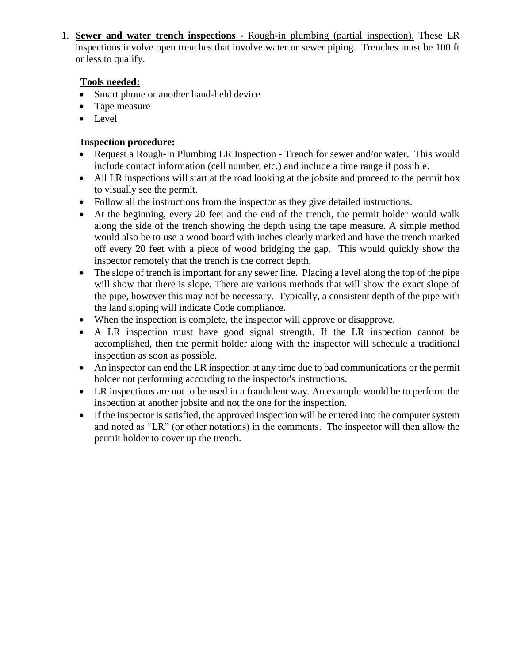1. **Sewer and water trench inspections** - Rough-in plumbing (partial inspection). These LR inspections involve open trenches that involve water or sewer piping. Trenches must be 100 ft or less to qualify.

# **Tools needed:**

- Smart phone or another hand-held device
- Tape measure
- Level

- Request a Rough-In Plumbing LR Inspection Trench for sewer and/or water. This would include contact information (cell number, etc.) and include a time range if possible.
- All LR inspections will start at the road looking at the jobsite and proceed to the permit box to visually see the permit.
- Follow all the instructions from the inspector as they give detailed instructions.
- At the beginning, every 20 feet and the end of the trench, the permit holder would walk along the side of the trench showing the depth using the tape measure. A simple method would also be to use a wood board with inches clearly marked and have the trench marked off every 20 feet with a piece of wood bridging the gap. This would quickly show the inspector remotely that the trench is the correct depth.
- The slope of trench is important for any sewer line. Placing a level along the top of the pipe will show that there is slope. There are various methods that will show the exact slope of the pipe, however this may not be necessary. Typically, a consistent depth of the pipe with the land sloping will indicate Code compliance.
- When the inspection is complete, the inspector will approve or disapprove.
- A LR inspection must have good signal strength. If the LR inspection cannot be accomplished, then the permit holder along with the inspector will schedule a traditional inspection as soon as possible.
- An inspector can end the LR inspection at any time due to bad communications or the permit holder not performing according to the inspector's instructions.
- LR inspections are not to be used in a fraudulent way. An example would be to perform the inspection at another jobsite and not the one for the inspection.
- If the inspector is satisfied, the approved inspection will be entered into the computer system and noted as "LR" (or other notations) in the comments. The inspector will then allow the permit holder to cover up the trench.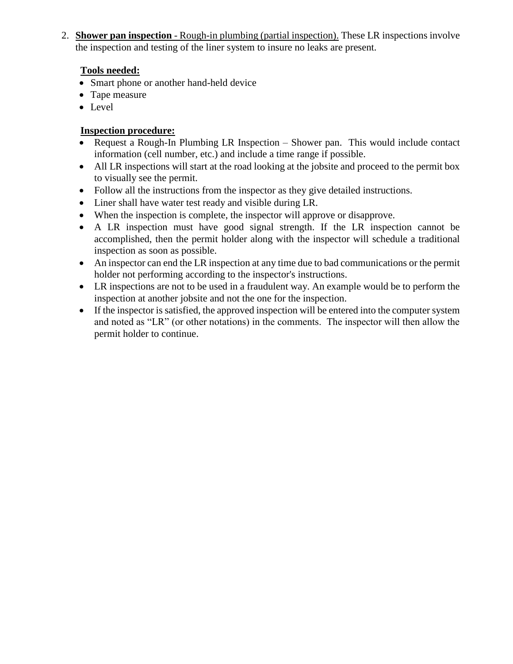2. **Shower pan inspection** - Rough-in plumbing (partial inspection). These LR inspections involve the inspection and testing of the liner system to insure no leaks are present.

# **Tools needed:**

- Smart phone or another hand-held device
- Tape measure
- Level

- Request a Rough-In Plumbing LR Inspection Shower pan. This would include contact information (cell number, etc.) and include a time range if possible.
- All LR inspections will start at the road looking at the jobsite and proceed to the permit box to visually see the permit.
- Follow all the instructions from the inspector as they give detailed instructions.
- Liner shall have water test ready and visible during LR.
- When the inspection is complete, the inspector will approve or disapprove.
- A LR inspection must have good signal strength. If the LR inspection cannot be accomplished, then the permit holder along with the inspector will schedule a traditional inspection as soon as possible.
- An inspector can end the LR inspection at any time due to bad communications or the permit holder not performing according to the inspector's instructions.
- LR inspections are not to be used in a fraudulent way. An example would be to perform the inspection at another jobsite and not the one for the inspection.
- If the inspector is satisfied, the approved inspection will be entered into the computer system and noted as "LR" (or other notations) in the comments. The inspector will then allow the permit holder to continue.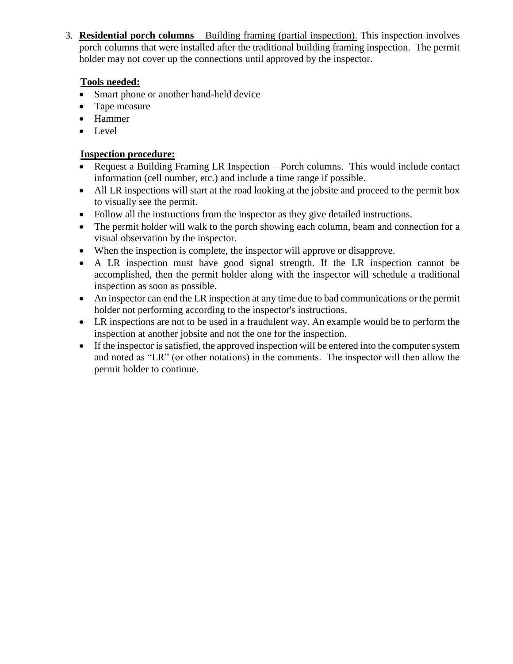3. **Residential porch columns** – Building framing (partial inspection). This inspection involves porch columns that were installed after the traditional building framing inspection. The permit holder may not cover up the connections until approved by the inspector.

# **Tools needed:**

- Smart phone or another hand-held device
- Tape measure
- Hammer
- Level

- Request a Building Framing LR Inspection Porch columns. This would include contact information (cell number, etc.) and include a time range if possible.
- All LR inspections will start at the road looking at the jobsite and proceed to the permit box to visually see the permit.
- Follow all the instructions from the inspector as they give detailed instructions.
- The permit holder will walk to the porch showing each column, beam and connection for a visual observation by the inspector.
- When the inspection is complete, the inspector will approve or disapprove.
- A LR inspection must have good signal strength. If the LR inspection cannot be accomplished, then the permit holder along with the inspector will schedule a traditional inspection as soon as possible.
- An inspector can end the LR inspection at any time due to bad communications or the permit holder not performing according to the inspector's instructions.
- LR inspections are not to be used in a fraudulent way. An example would be to perform the inspection at another jobsite and not the one for the inspection.
- If the inspector is satisfied, the approved inspection will be entered into the computer system and noted as "LR" (or other notations) in the comments. The inspector will then allow the permit holder to continue.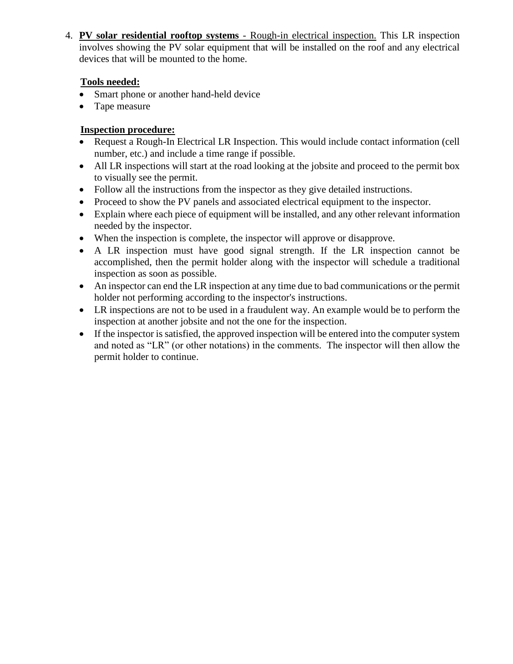4. **PV solar residential rooftop systems** - Rough-in electrical inspection. This LR inspection involves showing the PV solar equipment that will be installed on the roof and any electrical devices that will be mounted to the home.

# **Tools needed:**

- Smart phone or another hand-held device
- Tape measure

- Request a Rough-In Electrical LR Inspection. This would include contact information (cell number, etc.) and include a time range if possible.
- All LR inspections will start at the road looking at the jobsite and proceed to the permit box to visually see the permit.
- Follow all the instructions from the inspector as they give detailed instructions.
- Proceed to show the PV panels and associated electrical equipment to the inspector.
- Explain where each piece of equipment will be installed, and any other relevant information needed by the inspector.
- When the inspection is complete, the inspector will approve or disapprove.
- A LR inspection must have good signal strength. If the LR inspection cannot be accomplished, then the permit holder along with the inspector will schedule a traditional inspection as soon as possible.
- An inspector can end the LR inspection at any time due to bad communications or the permit holder not performing according to the inspector's instructions.
- LR inspections are not to be used in a fraudulent way. An example would be to perform the inspection at another jobsite and not the one for the inspection.
- If the inspector is satisfied, the approved inspection will be entered into the computer system and noted as "LR" (or other notations) in the comments. The inspector will then allow the permit holder to continue.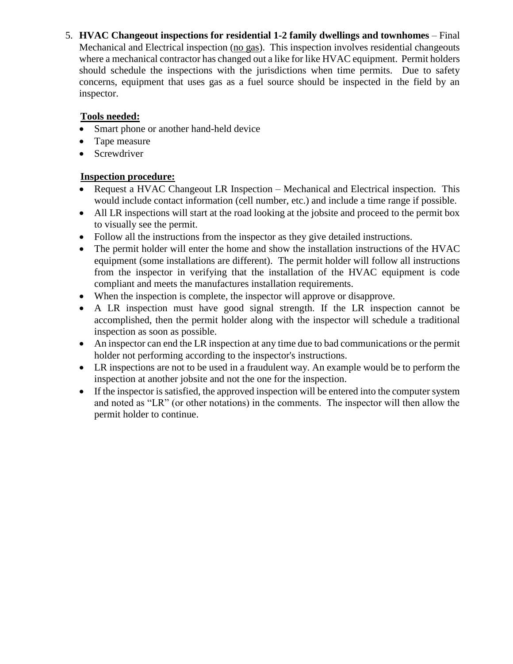5. **HVAC Changeout inspections for residential 1-2 family dwellings and townhomes** – Final Mechanical and Electrical inspection (no gas). This inspection involves residential changeouts where a mechanical contractor has changed out a like for like HVAC equipment. Permit holders should schedule the inspections with the jurisdictions when time permits. Due to safety concerns, equipment that uses gas as a fuel source should be inspected in the field by an inspector.

# **Tools needed:**

- Smart phone or another hand-held device
- Tape measure
- Screwdriver

- Request a HVAC Changeout LR Inspection Mechanical and Electrical inspection. This would include contact information (cell number, etc.) and include a time range if possible.
- All LR inspections will start at the road looking at the jobsite and proceed to the permit box to visually see the permit.
- Follow all the instructions from the inspector as they give detailed instructions.
- The permit holder will enter the home and show the installation instructions of the HVAC equipment (some installations are different). The permit holder will follow all instructions from the inspector in verifying that the installation of the HVAC equipment is code compliant and meets the manufactures installation requirements.
- When the inspection is complete, the inspector will approve or disapprove.
- A LR inspection must have good signal strength. If the LR inspection cannot be accomplished, then the permit holder along with the inspector will schedule a traditional inspection as soon as possible.
- An inspector can end the LR inspection at any time due to bad communications or the permit holder not performing according to the inspector's instructions.
- LR inspections are not to be used in a fraudulent way. An example would be to perform the inspection at another jobsite and not the one for the inspection.
- If the inspector is satisfied, the approved inspection will be entered into the computer system and noted as "LR" (or other notations) in the comments. The inspector will then allow the permit holder to continue.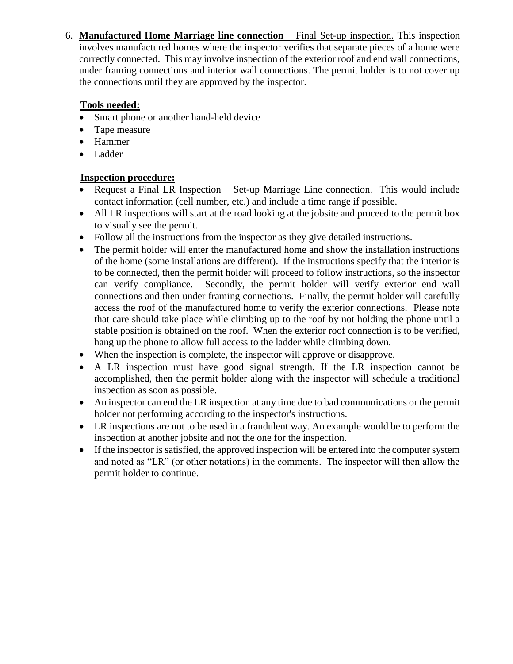6. **Manufactured Home Marriage line connection** – Final Set-up inspection. This inspection involves manufactured homes where the inspector verifies that separate pieces of a home were correctly connected. This may involve inspection of the exterior roof and end wall connections, under framing connections and interior wall connections. The permit holder is to not cover up the connections until they are approved by the inspector.

# **Tools needed:**

- Smart phone or another hand-held device
- Tape measure
- Hammer
- Ladder

- Request a Final LR Inspection Set-up Marriage Line connection. This would include contact information (cell number, etc.) and include a time range if possible.
- All LR inspections will start at the road looking at the jobsite and proceed to the permit box to visually see the permit.
- Follow all the instructions from the inspector as they give detailed instructions.
- The permit holder will enter the manufactured home and show the installation instructions of the home (some installations are different). If the instructions specify that the interior is to be connected, then the permit holder will proceed to follow instructions, so the inspector can verify compliance. Secondly, the permit holder will verify exterior end wall connections and then under framing connections. Finally, the permit holder will carefully access the roof of the manufactured home to verify the exterior connections. Please note that care should take place while climbing up to the roof by not holding the phone until a stable position is obtained on the roof. When the exterior roof connection is to be verified, hang up the phone to allow full access to the ladder while climbing down.
- When the inspection is complete, the inspector will approve or disapprove.
- A LR inspection must have good signal strength. If the LR inspection cannot be accomplished, then the permit holder along with the inspector will schedule a traditional inspection as soon as possible.
- An inspector can end the LR inspection at any time due to bad communications or the permit holder not performing according to the inspector's instructions.
- LR inspections are not to be used in a fraudulent way. An example would be to perform the inspection at another jobsite and not the one for the inspection.
- If the inspector is satisfied, the approved inspection will be entered into the computer system and noted as "LR" (or other notations) in the comments. The inspector will then allow the permit holder to continue.